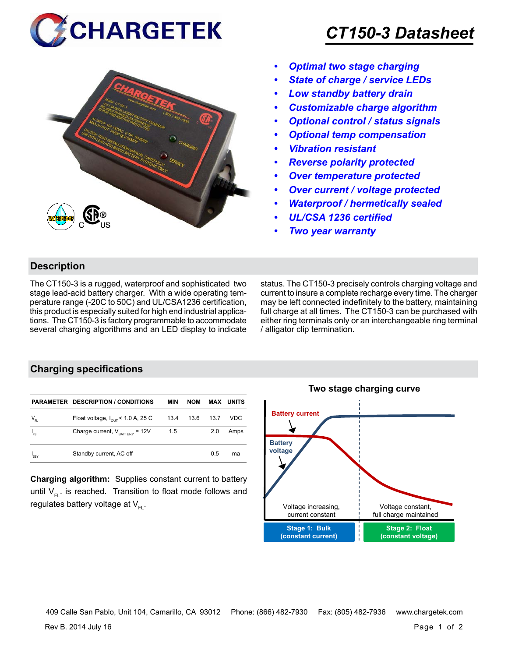



## *CT150-3 Datasheet*

- *• Optimal two stage charging*
- *• State of charge / service LEDs*
- *• Low standby battery drain*
- *• Customizable charge algorithm*
- *• Optional control / status signals*
- *• Optional temp compensation*
- *• Vibration resistant*
- *• Reverse polarity protected*
- *• Over temperature protected*
- *• Over current / voltage protected*
- *• Waterproof / hermetically sealed*
- *• UL/CSA 1236 certified*
- *• Two year warranty*

#### **Description**

The CT150-3 is a rugged, waterproof and sophisticated two stage lead-acid battery charger. With a wide operating temperature range (-20C to 50C) and UL/CSA1236 certification, this product is especially suited for high end industrial applications. The CT150-3 is factory programmable to accommodate several charging algorithms and an LED display to indicate status. The CT150-3 precisely controls charging voltage and current to insure a complete recharge every time. The charger may be left connected indefinitely to the battery, maintaining full charge at all times. The CT150-3 can be purchased with either ring terminals only or an interchangeable ring terminal / alligator clip termination.

### **Charging specifications**

|                  | <b>PARAMETER DESCRIPTION / CONDITIONS</b>     | MIN  | <b>NOM</b> |      | <b>MAX UNITS</b> |
|------------------|-----------------------------------------------|------|------------|------|------------------|
| $V_{_{FL}}$      | Float voltage, $I_{\text{out}}$ < 1.0 A, 25 C | 13.4 | 13.6       | 13.7 | VDC              |
| $I_{FS}$         | Charge current, $V_{\text{raffley}} = 12V$    | 1.5  |            | 2.0  | Amps             |
| <sup>1</sup> SBY | Standby current, AC off                       |      |            | 0.5  | ma               |

**Charging algorithm:** Supplies constant current to battery until  $V_{F1}$ . is reached. Transition to float mode follows and regulates battery voltage at  $V_{F1}$ .